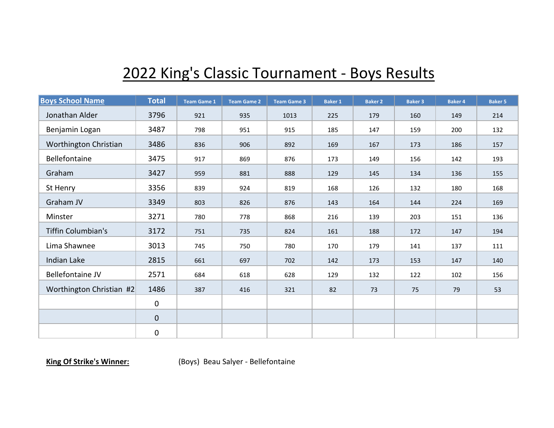## 2022 King's Classic Tournament - Boys Results

| <b>Boys School Name</b>   | <b>Total</b> | <b>Team Game 1</b> | <b>Team Game 2</b> | <b>Team Game 3</b> | <b>Baker 1</b> | <b>Baker 2</b> | <b>Baker 3</b> | <b>Baker 4</b> | <b>Baker 5</b> |
|---------------------------|--------------|--------------------|--------------------|--------------------|----------------|----------------|----------------|----------------|----------------|
| Jonathan Alder            | 3796         | 921                | 935                | 1013               | 225            | 179            | 160            | 149            | 214            |
| Benjamin Logan            | 3487         | 798                | 951                | 915                | 185            | 147            | 159            | 200            | 132            |
| Worthington Christian     | 3486         | 836                | 906                | 892                | 169            | 167            | 173            | 186            | 157            |
| Bellefontaine             | 3475         | 917                | 869                | 876                | 173            | 149            | 156            | 142            | 193            |
| Graham                    | 3427         | 959                | 881                | 888                | 129            | 145            | 134            | 136            | 155            |
| St Henry                  | 3356         | 839                | 924                | 819                | 168            | 126            | 132            | 180            | 168            |
| Graham JV                 | 3349         | 803                | 826                | 876                | 143            | 164            | 144            | 224            | 169            |
| Minster                   | 3271         | 780                | 778                | 868                | 216            | 139            | 203            | 151            | 136            |
| <b>Tiffin Columbian's</b> | 3172         | 751                | 735                | 824                | 161            | 188            | 172            | 147            | 194            |
| Lima Shawnee              | 3013         | 745                | 750                | 780                | 170            | 179            | 141            | 137            | 111            |
| Indian Lake               | 2815         | 661                | 697                | 702                | 142            | 173            | 153            | 147            | 140            |
| Bellefontaine JV          | 2571         | 684                | 618                | 628                | 129            | 132            | 122            | 102            | 156            |
| Worthington Christian #2  | 1486         | 387                | 416                | 321                | 82             | 73             | 75             | 79             | 53             |
|                           | $\mathbf 0$  |                    |                    |                    |                |                |                |                |                |
|                           | $\mathbf 0$  |                    |                    |                    |                |                |                |                |                |
|                           | $\pmb{0}$    |                    |                    |                    |                |                |                |                |                |

**King Of Strike's Winner:** (Boys) Beau Salyer - Bellefontaine